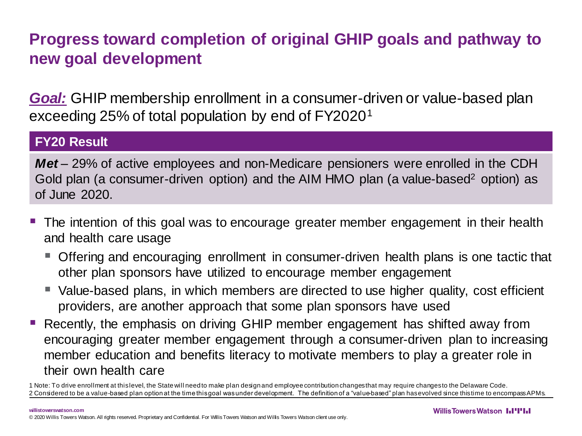# **Progress toward completion of original GHIP goals and pathway to new goal development**

*Goal:* GHIP membership enrollment in a consumer-driven or value-based plan exceeding 25% of total population by end of FY2020<sup>1</sup>

### **FY20 Result**

*Met* – 29% of active employees and non-Medicare pensioners were enrolled in the CDH Gold plan (a consumer-driven option) and the AIM HMO plan (a value-based<sup>2</sup> option) as of June 2020.

- The intention of this goal was to encourage greater member engagement in their health and health care usage
	- Offering and encouraging enrollment in consumer-driven health plans is one tactic that other plan sponsors have utilized to encourage member engagement
	- Value-based plans, in which members are directed to use higher quality, cost efficient providers, are another approach that some plan sponsors have used
- Recently, the emphasis on driving GHIP member engagement has shifted away from encouraging greater member engagement through a consumer-driven plan to increasing member education and benefits literacy to motivate members to play a greater role in their own health care

1 Note: To drive enrollment at this level, the State will need to make plan design and employee contribution changes that may require changes to the Delaware Code. 2 Considered to be a value-based plan option at the time this goal was under development. The definition of a "value-based" plan has evolved since this time to encompass APMs.